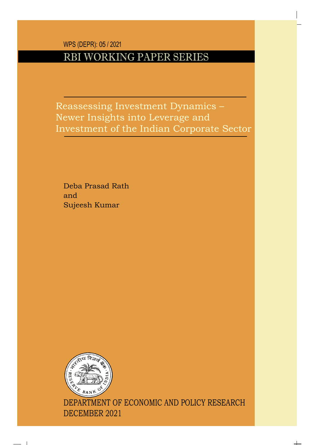WPS (DEPR): 05 / 2021

## RBI WORKING PAPER SERIES

Reassessing Investment Dynamics – Newer Insights into Leverage and Investment of the Indian Corporate Sector

Deba Prasad Rath and Sujeesh Kumar



DEPARTMENT OF ECONOMIC AND POLICY RESEARCH DECEMBER 2021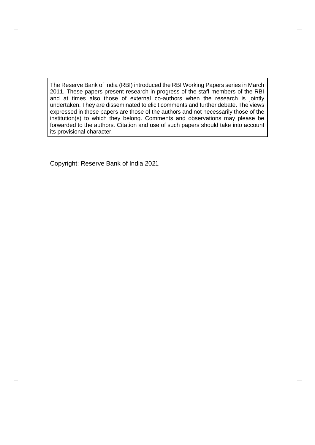The Reserve Bank of India (RBI) introduced the RBI Working Papers series in March 2011. These papers present research in progress of the staff members of the RBI and at times also those of external co-authors when the research is jointly undertaken. They are disseminated to elicit comments and further debate. The views expressed in these papers are those of the authors and not necessarily those of the institution(s) to which they belong. Comments and observations may please be forwarded to the authors. Citation and use of such papers should take into account its provisional character.

 $\Box$ 

Copyright: Reserve Bank of India 2021

 $\overline{\phantom{a}}$ 

 $\overline{\phantom{a}}$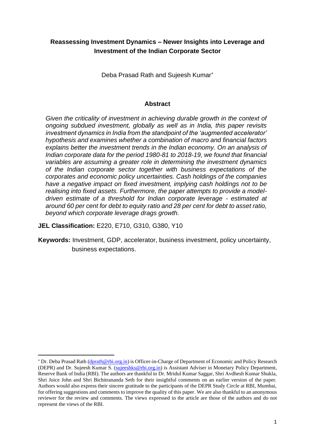## **Reassessing Investment Dynamics – Newer Insights into Leverage and Investment of the Indian Corporate Sector**

Deba Prasad Rath and Sujeesh Kumar

#### **Abstract**

*Given the criticality of investment in achieving durable growth in the context of ongoing subdued investment, globally as well as in India, this paper revisits investment dynamics in India from the standpoint of the 'augmented accelerator' hypothesis and examines whether a combination of macro and financial factors explains better the investment trends in the Indian economy. On an analysis of Indian corporate data for the period 1980-81 to 2018-19, we found that financial variables are assuming a greater role in determining the investment dynamics of the Indian corporate sector together with business expectations of the corporates and economic policy uncertainties. Cash holdings of the companies have a negative impact on fixed investment, implying cash holdings not to be realising into fixed assets. Furthermore, the paper attempts to provide a modeldriven estimate of a threshold for Indian corporate leverage - estimated at around 60 per cent for debt to equity ratio and 28 per cent for debt to asset ratio, beyond which corporate leverage drags growth.*

**JEL Classification:** E220, E710, G310, G380, Y10

**Keywords:** Investment, GDP, accelerator, business investment, policy uncertainty, business expectations.

Dr. Deba Prasad Rath [\(dprath@rbi.org.in\)](mailto:dprath@rbi.org.in) is Officer-in-Charge of Department of Economic and Policy Research (DEPR) and Dr. Sujeesh Kumar S. [\(sujeeshks@rbi.org.in\)](mailto:sujeeshks@rbi.org.in) is Assistant Adviser in Monetary Policy Department, Reserve Bank of India (RBI). The authors are thankful to Dr. Mridul Kumar Saggar, Shri Avdhesh Kumar Shukla, Shri Joice John and Shri Bichitrananda Seth for their insightful comments on an earlier version of the paper. Authors would also express their sincere gratitude to the participants of the DEPR Study Circle at RBI, Mumbai, for offering suggestions and comments to improve the quality of this paper. We are also thankful to an anonymous reviewer for the review and comments. The views expressed in the article are those of the authors and do not represent the views of the RBI.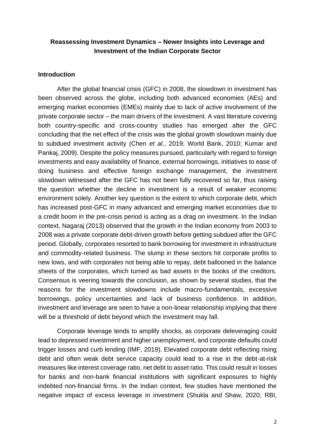## **Reassessing Investment Dynamics – Newer Insights into Leverage and Investment of the Indian Corporate Sector**

## **Introduction**

After the global financial crisis (GFC) in 2008, the slowdown in investment has been observed across the globe, including both advanced economies (AEs) and emerging market economies (EMEs) mainly due to lack of active involvement of the private corporate sector – the main drivers of the investment. A vast literature covering both country-specific and cross-country studies has emerged after the GFC concluding that the net effect of the crisis was the global growth slowdown mainly due to subdued investment activity (Chen *et al*., 2019; World Bank, 2010; Kumar and Pankaj, 2009). Despite the policy measures pursued, particularly with regard to foreign investments and easy availability of finance, external borrowings, initiatives to ease of doing business and effective foreign exchange management, the investment slowdown witnessed after the GFC has not been fully recovered so far, thus raising the question whether the decline in investment is a result of weaker economic environment solely. Another key question is the extent to which corporate debt, which has increased post-GFC in many advanced and emerging market economies due to a credit boom in the pre-crisis period is acting as a drag on investment. In the Indian context, Nagaraj (2013) observed that the growth in the Indian economy from 2003 to 2008 was a private corporate debt-driven growth before getting subdued after the GFC period. Globally, corporates resorted to bank borrowing for investment in infrastructure and commodity-related business. The slump in these sectors hit corporate profits to new lows, and with corporates not being able to repay, debt ballooned in the balance sheets of the corporates, which turned as bad assets in the books of the creditors. Consensus is veering towards the conclusion, as shown by several studies, that the reasons for the investment slowdowns include macro-fundamentals, excessive borrowings, policy uncertainties and lack of business confidence. In addition, investment and leverage are seen to have a non-linear relationship implying that there will be a threshold of debt beyond which the investment may fall.

Corporate leverage tends to amplify shocks, as corporate deleveraging could lead to depressed investment and higher unemployment, and corporate defaults could trigger losses and curb lending (IMF, 2019). Elevated corporate debt reflecting rising debt and often weak debt service capacity could lead to a rise in the debt-at-risk measures like interest coverage ratio, net debt to asset ratio. This could result in losses for banks and non-bank financial institutions with significant exposures to highly indebted non-financial firms. In the Indian context, few studies have mentioned the negative impact of excess leverage in investment (Shukla and Shaw, 2020; RBI,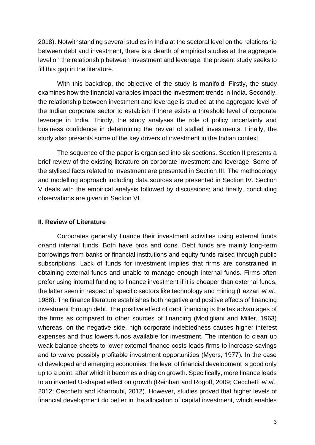2018). Notwithstanding several studies in India at the sectoral level on the relationship between debt and investment, there is a dearth of empirical studies at the aggregate level on the relationship between investment and leverage; the present study seeks to fill this gap in the literature.

With this backdrop, the objective of the study is manifold. Firstly, the study examines how the financial variables impact the investment trends in India. Secondly, the relationship between investment and leverage is studied at the aggregate level of the Indian corporate sector to establish if there exists a threshold level of corporate leverage in India. Thirdly, the study analyses the role of policy uncertainty and business confidence in determining the revival of stalled investments. Finally, the study also presents some of the key drivers of investment in the Indian context.

The sequence of the paper is organised into six sections. Section II presents a brief review of the existing literature on corporate investment and leverage. Some of the stylised facts related to Investment are presented in Section III. The methodology and modelling approach including data sources are presented in Section IV. Section V deals with the empirical analysis followed by discussions; and finally, concluding observations are given in Section VI.

#### **II. Review of Literature**

Corporates generally finance their investment activities using external funds or/and internal funds. Both have pros and cons. Debt funds are mainly long-term borrowings from banks or financial institutions and equity funds raised through public subscriptions. Lack of funds for investment implies that firms are constrained in obtaining external funds and unable to manage enough internal funds. Firms often prefer using internal funding to finance investment if it is cheaper than external funds, the latter seen in respect of specific sectors like technology and mining (Fazzari *et al*., 1988). The finance literature establishes both negative and positive effects of financing investment through debt. The positive effect of debt financing is the tax advantages of the firms as compared to other sources of financing (Modigliani and Miller, 1963) whereas, on the negative side, high corporate indebtedness causes higher interest expenses and thus lowers funds available for investment. The intention to clean up weak balance sheets to lower external finance costs leads firms to increase savings and to waive possibly profitable investment opportunities (Myers, 1977). In the case of developed and emerging economies, the level of financial development is good only up to a point, after which it becomes a drag on growth. Specifically, more finance leads to an inverted U-shaped effect on growth (Reinhart and Rogoff, 2009; Cecchetti *et al*., 2012; Cecchetti and Kharroubi, 2012). However, studies proved that higher levels of financial development do better in the allocation of capital investment, which enables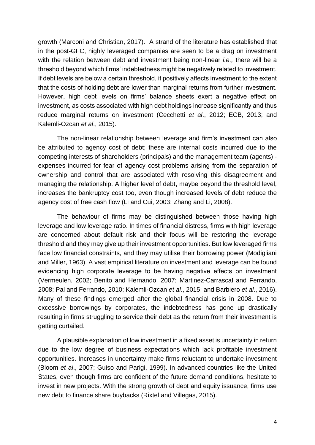growth (Marconi and Christian, 2017). A strand of the literature has established that in the post-GFC, highly leveraged companies are seen to be a drag on investment with the relation between debt and investment being non-linear *i.e.,* there will be a threshold beyond which firms' indebtedness might be negatively related to investment. If debt levels are below a certain threshold, it positively affects investment to the extent that the costs of holding debt are lower than marginal returns from further investment. However, high debt levels on firms' balance sheets exert a negative effect on investment, as costs associated with high debt holdings increase significantly and thus reduce marginal returns on investment (Cecchetti *et al*., 2012; ECB, 2013; and Kalemli-Ozcan *et al*., 2015).

The non-linear relationship between leverage and firm's investment can also be attributed to agency cost of debt; these are internal costs incurred due to the competing interests of shareholders (principals) and the management team (agents) expenses incurred for fear of agency cost problems arising from the separation of ownership and control that are associated with resolving this disagreement and managing the relationship. A higher level of debt, maybe beyond the threshold level, increases the bankruptcy cost too, even though increased levels of debt reduce the agency cost of free cash flow (Li and Cui, 2003; Zhang and Li, 2008).

The behaviour of firms may be distinguished between those having high leverage and low leverage ratio. In times of financial distress, firms with high leverage are concerned about default risk and their focus will be restoring the leverage threshold and they may give up their investment opportunities. But low leveraged firms face low financial constraints, and they may utilise their borrowing power (Modigliani and Miller, 1963). A vast empirical literature on investment and leverage can be found evidencing high corporate leverage to be having negative effects on investment (Vermeulen, 2002; Benito and Hernando, 2007; Martinez-Carrascal and Ferrando, 2008; Pal and Ferrando, 2010; Kalemli-Ozcan *et al*., 2015; and Barbiero *et al*., 2016). Many of these findings emerged after the global financial crisis in 2008. Due to excessive borrowings by corporates, the indebtedness has gone up drastically resulting in firms struggling to service their debt as the return from their investment is getting curtailed.

A plausible explanation of low investment in a fixed asset is uncertainty in return due to the low degree of business expectations which lack profitable investment opportunities. Increases in uncertainty make firms reluctant to undertake investment (Bloom *et al*., 2007; Guiso and Parigi, 1999). In advanced countries like the United States, even though firms are confident of the future demand conditions, hesitate to invest in new projects. With the strong growth of debt and equity issuance, firms use new debt to finance share buybacks (Rixtel and Villegas, 2015).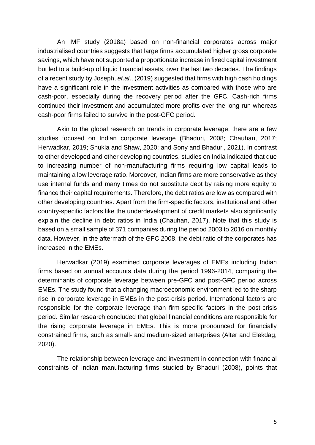An IMF study (2018a) based on non-financial corporates across major industrialised countries suggests that large firms accumulated higher gross corporate savings, which have not supported a proportionate increase in fixed capital investment but led to a build-up of liquid financial assets, over the last two decades. The findings of a recent study by Joseph, *et.al*., (2019) suggested that firms with high cash holdings have a significant role in the investment activities as compared with those who are cash-poor, especially during the recovery period after the GFC. Cash-rich firms continued their investment and accumulated more profits over the long run whereas cash-poor firms failed to survive in the post-GFC period.

Akin to the global research on trends in corporate leverage, there are a few studies focused on Indian corporate leverage (Bhaduri, 2008; Chauhan, 2017; Herwadkar, 2019; Shukla and Shaw, 2020; and Sony and Bhaduri, 2021). In contrast to other developed and other developing countries, studies on India indicated that due to increasing number of non-manufacturing firms requiring low capital leads to maintaining a low leverage ratio. Moreover, Indian firms are more conservative as they use internal funds and many times do not substitute debt by raising more equity to finance their capital requirements. Therefore, the debt ratios are low as compared with other developing countries. Apart from the firm-specific factors, institutional and other country-specific factors like the underdevelopment of credit markets also significantly explain the decline in debt ratios in India (Chauhan, 2017). Note that this study is based on a small sample of 371 companies during the period 2003 to 2016 on monthly data. However, in the aftermath of the GFC 2008, the debt ratio of the corporates has increased in the EMEs.

Herwadkar (2019) examined corporate leverages of EMEs including Indian firms based on annual accounts data during the period 1996-2014, comparing the determinants of corporate leverage between pre-GFC and post-GFC period across EMEs. The study found that a changing macroeconomic environment led to the sharp rise in corporate leverage in EMEs in the post-crisis period. International factors are responsible for the corporate leverage than firm-specific factors in the post-crisis period. Similar research concluded that global financial conditions are responsible for the rising corporate leverage in EMEs. This is more pronounced for financially constrained firms, such as small- and medium-sized enterprises (Alter and Elekdag, 2020).

The relationship between leverage and investment in connection with financial constraints of Indian manufacturing firms studied by Bhaduri (2008), points that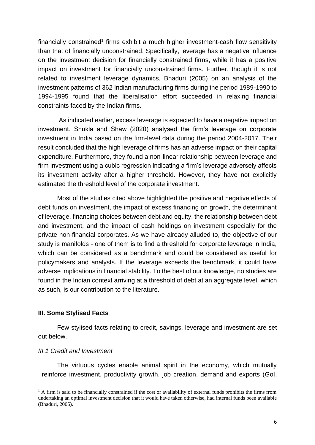financially constrained<sup>1</sup> firms exhibit a much higher investment-cash flow sensitivity than that of financially unconstrained. Specifically, leverage has a negative influence on the investment decision for financially constrained firms, while it has a positive impact on investment for financially unconstrained firms. Further, though it is not related to investment leverage dynamics, Bhaduri (2005) on an analysis of the investment patterns of 362 Indian manufacturing firms during the period 1989-1990 to 1994-1995 found that the liberalisation effort succeeded in relaxing financial constraints faced by the Indian firms.

As indicated earlier, excess leverage is expected to have a negative impact on investment. Shukla and Shaw (2020) analysed the firm's leverage on corporate investment in India based on the firm-level data during the period 2004-2017. Their result concluded that the high leverage of firms has an adverse impact on their capital expenditure. Furthermore, they found a non-linear relationship between leverage and firm investment using a cubic regression indicating a firm's leverage adversely affects its investment activity after a higher threshold. However, they have not explicitly estimated the threshold level of the corporate investment.

Most of the studies cited above highlighted the positive and negative effects of debt funds on investment, the impact of excess financing on growth, the determinant of leverage, financing choices between debt and equity, the relationship between debt and investment, and the impact of cash holdings on investment especially for the private non-financial corporates. As we have already alluded to, the objective of our study is manifolds - one of them is to find a threshold for corporate leverage in India, which can be considered as a benchmark and could be considered as useful for policymakers and analysts. If the leverage exceeds the benchmark, it could have adverse implications in financial stability. To the best of our knowledge, no studies are found in the Indian context arriving at a threshold of debt at an aggregate level, which as such, is our contribution to the literature.

## **III. Some Stylised Facts**

Few stylised facts relating to credit, savings, leverage and investment are set out below.

#### *III.1 Credit and Investment*

The virtuous cycles enable animal spirit in the economy, which mutually reinforce investment, productivity growth, job creation, demand and exports (GoI,

 $<sup>1</sup>$  A firm is said to be financially constrained if the cost or availability of external funds prohibits the firms from</sup> undertaking an optimal investment decision that it would have taken otherwise, had internal funds been available (Bhaduri, 2005).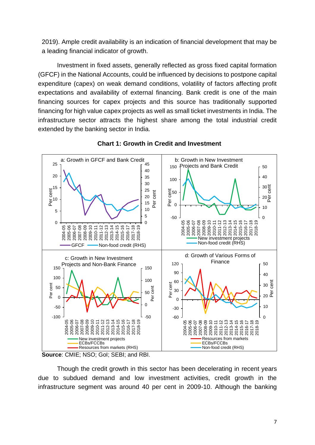2019). Ample credit availability is an indication of financial development that may be a leading financial indicator of growth.

Investment in fixed assets, generally reflected as gross fixed capital formation (GFCF) in the National Accounts, could be influenced by decisions to postpone capital expenditure (capex) on weak demand conditions, volatility of factors affecting profit expectations and availability of external financing. Bank credit is one of the main financing sources for capex projects and this source has traditionally supported financing for high value capex projects as well as small ticket investments in India. The infrastructure sector attracts the highest share among the total industrial credit extended by the banking sector in India.



## **Chart 1: Growth in Credit and Investment**

**Source**: CMIE; NSO; GoI; SEBI; and RBI.

Though the credit growth in this sector has been decelerating in recent years due to subdued demand and low investment activities, credit growth in the infrastructure segment was around 40 per cent in 2009-10. Although the banking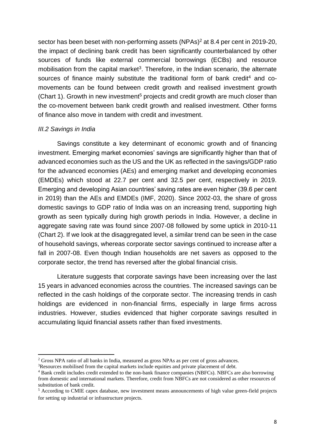sector has been beset with non-performing assets (NPAs)<sup>2</sup> at 8.4 per cent in 2019-20, the impact of declining bank credit has been significantly counterbalanced by other sources of funds like external commercial borrowings (ECBs) and resource mobilisation from the capital market<sup>3</sup>. Therefore, in the Indian scenario, the alternate sources of finance mainly substitute the traditional form of bank credit<sup>4</sup> and comovements can be found between credit growth and realised investment growth (Chart 1). Growth in new investment<sup>5</sup> projects and credit growth are much closer than the co-movement between bank credit growth and realised investment. Other forms of finance also move in tandem with credit and investment.

## *III.2 Savings in India*

Savings constitute a key determinant of economic growth and of financing investment. Emerging market economies' savings are significantly higher than that of advanced economies such as the US and the UK as reflected in the savings/GDP ratio for the advanced economies (AEs) and emerging market and developing economies (EMDEs) which stood at 22.7 per cent and 32.5 per cent, respectively in 2019. Emerging and developing Asian countries' saving rates are even higher (39.6 per cent in 2019) than the AEs and EMDEs (IMF, 2020). Since 2002-03, the share of gross domestic savings to GDP ratio of India was on an increasing trend, supporting high growth as seen typically during high growth periods in India. However, a decline in aggregate saving rate was found since 2007-08 followed by some uptick in 2010-11 (Chart 2). If we look at the disaggregated level, a similar trend can be seen in the case of household savings, whereas corporate sector savings continued to increase after a fall in 2007-08. Even though Indian households are net savers as opposed to the corporate sector, the trend has reversed after the global financial crisis.

Literature suggests that corporate savings have been increasing over the last 15 years in advanced economies across the countries. The increased savings can be reflected in the cash holdings of the corporate sector. The increasing trends in cash holdings are evidenced in non-financial firms, especially in large firms across industries. However, studies evidenced that higher corporate savings resulted in accumulating liquid financial assets rather than fixed investments.

<sup>&</sup>lt;sup>2</sup> Gross NPA ratio of all banks in India, measured as gross NPAs as per cent of gross advances.

<sup>&</sup>lt;sup>3</sup>Resources mobilised from the capital markets include equities and private placement of debt.

<sup>4</sup> Bank credit includes credit extended to the non-bank finance companies (NBFCs). NBFCs are also borrowing from domestic and international markets. Therefore, credit from NBFCs are not considered as other resources of substitution of bank credit.

<sup>5</sup> According to CMIE capex database, new investment means announcements of high value green-field projects for setting up industrial or infrastructure projects.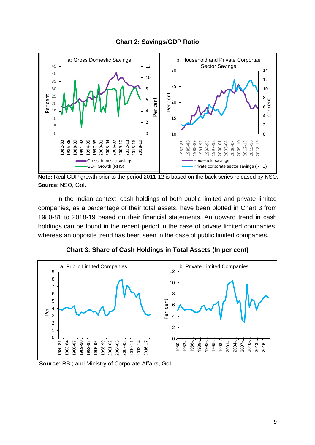

**Chart 2: Savings/GDP Ratio**

**Note:** Real GDP growth prior to the period 2011-12 is based on the back series released by NSO. **Source**: NSO, GoI.

In the Indian context, cash holdings of both public limited and private limited companies, as a percentage of their total assets, have been plotted in Chart 3 from 1980-81 to 2018-19 based on their financial statements. An upward trend in cash holdings can be found in the recent period in the case of private limited companies, whereas an opposite trend has been seen in the case of public limited companies.





**Source**: RBI; and Ministry of Corporate Affairs, GoI.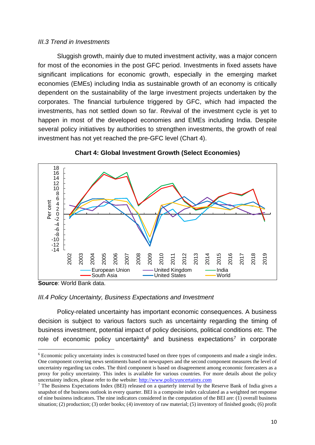## *III.3 Trend in Investments*

Sluggish growth, mainly due to muted investment activity, was a major concern for most of the economies in the post GFC period. Investments in fixed assets have significant implications for economic growth, especially in the emerging market economies (EMEs) including India as sustainable growth of an economy is critically dependent on the sustainability of the large investment projects undertaken by the corporates. The financial turbulence triggered by GFC, which had impacted the investments, has not settled down so far. Revival of the investment cycle is yet to happen in most of the developed economies and EMEs including India. Despite several policy initiatives by authorities to strengthen investments, the growth of real investment has not yet reached the pre-GFC level (Chart 4).





**Source**: World Bank data.

#### *III.4 Policy Uncertainty, Business Expectations and Investment*

Policy-related uncertainty has important economic consequences. A business decision is subject to various factors such as uncertainty regarding the timing of business investment, potential impact of policy decisions, political conditions *etc.* The role of economic policy uncertainty $6$  and business expectations<sup>7</sup> in corporate

<sup>6</sup> Economic policy uncertainty index is constructed based on three types of components and made a single index. One component covering news sentiments based on newspapers and the second component measures the level of uncertainty regarding tax codes. The third component is based on disagreement among economic forecasters as a proxy for policy uncertainty. This index is available for various countries. For more details about the policy uncertainty indices, please refer to the website: [http://www.policyuncertainty.com](http://www.policyuncertainty.com/)

<sup>&</sup>lt;sup>7</sup> The Business Expectations Index (BEI) released on a quarterly interval by the Reserve Bank of India gives a snapshot of the business outlook in every quarter. BEI is a composite index calculated as a weighted net response of nine business indicators. The nine indicators considered in the computation of the BEI are: (1) overall business situation; (2) production; (3) order books; (4) inventory of raw material; (5) inventory of finished goods; (6) profit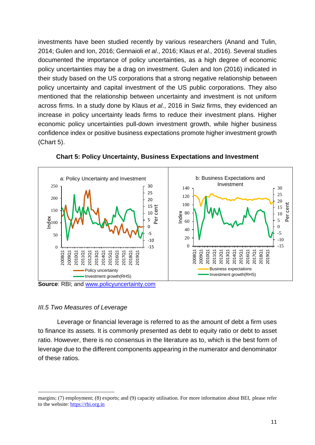investments have been studied recently by various researchers (Anand and Tulin, 2014; Gulen and Ion, 2016; Gennaioli *et al*., 2016; Klaus *et al.,* 2016). Several studies documented the importance of policy uncertainties, as a high degree of economic policy uncertainties may be a drag on investment. Gulen and Ion (2016) indicated in their study based on the US corporations that a strong negative relationship between policy uncertainty and capital investment of the US public corporations. They also mentioned that the relationship between uncertainty and investment is not uniform across firms. In a study done by Klaus *et al*., 2016 in Swiz firms, they evidenced an increase in policy uncertainty leads firms to reduce their investment plans. Higher economic policy uncertainties pull-down investment growth, while higher business confidence index or positive business expectations promote higher investment growth (Chart 5).



**Chart 5: Policy Uncertainty, Business Expectations and Investment**

# *III.5 Two Measures of Leverage*

Leverage or financial leverage is referred to as the amount of debt a firm uses to finance its assets. It is commonly presented as debt to equity ratio or debt to asset ratio. However, there is no consensus in the literature as to, which is the best form of leverage due to the different components appearing in the numerator and denominator of these ratios.

margins; (7) employment; (8) exports; and (9) capacity utilisation. For more information about BEI, please refer to the website: [https://rbi.org.in](https://rbi.org.in/)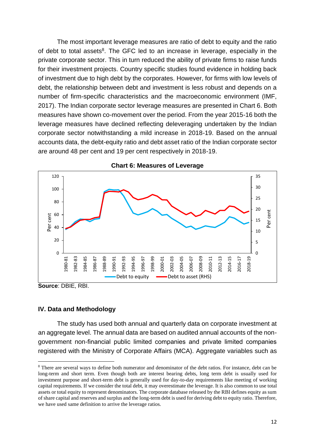The most important leverage measures are ratio of debt to equity and the ratio of debt to total assets<sup>8</sup>. The GFC led to an increase in leverage, especially in the private corporate sector. This in turn reduced the ability of private firms to raise funds for their investment projects. Country specific studies found evidence in holding back of investment due to high debt by the corporates. However, for firms with low levels of debt, the relationship between debt and investment is less robust and depends on a number of firm-specific characteristics and the macroeconomic environment (IMF, 2017). The Indian corporate sector leverage measures are presented in Chart 6. Both measures have shown co-movement over the period. From the year 2015-16 both the leverage measures have declined reflecting deleveraging undertaken by the Indian corporate sector notwithstanding a mild increase in 2018-19. Based on the annual accounts data, the debt-equity ratio and debt asset ratio of the Indian corporate sector are around 48 per cent and 19 per cent respectively in 2018-19.



**Chart 6: Measures of Leverage**

**Source**: DBIE, RBI.

#### **IV. Data and Methodology**

The study has used both annual and quarterly data on corporate investment at an aggregate level. The annual data are based on audited annual accounts of the nongovernment non-financial public limited companies and private limited companies registered with the Ministry of Corporate Affairs (MCA). Aggregate variables such as

<sup>&</sup>lt;sup>8</sup> There are several ways to define both numerator and denominator of the debt ratios. For instance, debt can be long-term and short term. Even though both are interest bearing debts, long term debt is usually used for investment purpose and short-term debt is generally used for day-to-day requirements like meeting of working capital requirements. If we consider the total debt, it may overestimate the leverage. It is also common to use total assets or total equity to represent denominators. The corporate database released by the RBI defines equity as sum of share capital and reserves and surplus and the long-term debt is used for deriving debt to equity ratio. Therefore, we have used same definition to arrive the leverage ratios.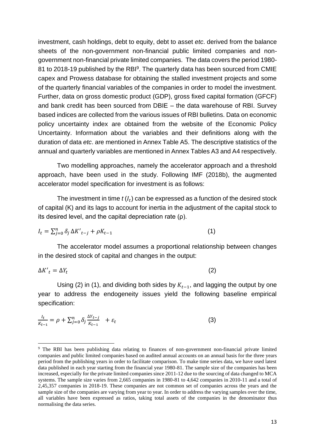investment, cash holdings, debt to equity, debt to asset *etc*. derived from the balance sheets of the non-government non-financial public limited companies and nongovernment non-financial private limited companies. The data covers the period 1980- 81 to 2018-19 published by the RBI<sup>9</sup>. The quarterly data has been sourced from CMIE capex and Prowess database for obtaining the stalled investment projects and some of the quarterly financial variables of the companies in order to model the investment. Further, data on gross domestic product (GDP), gross fixed capital formation (GFCF) and bank credit has been sourced from DBIE – the data warehouse of RBI. Survey based indices are collected from the various issues of RBI bulletins. Data on economic policy uncertainty index are obtained from the website of the Economic Policy Uncertainty. Information about the variables and their definitions along with the duration of data *etc*. are mentioned in Annex Table A5. The descriptive statistics of the annual and quarterly variables are mentioned in Annex Tables A3 and A4 respectively.

Two modelling approaches, namely the accelerator approach and a threshold approach, have been used in the study. Following IMF (2018b), the augmented accelerator model specification for investment is as follows:

The investment in time  $t\left(I_t\right)$  can be expressed as a function of the desired stock of capital (K) and its lags to account for inertia in the adjustment of the capital stock to its desired level, and the capital depreciation rate (ρ).

$$
I_t = \sum_{j=0}^n \delta_j \Delta K'_{t-j} + \rho K_{t-1} \tag{1}
$$

The accelerator model assumes a proportional relationship between changes in the desired stock of capital and changes in the output:

$$
\Delta K'_t = \Delta Y_t \tag{2}
$$

Using (2) in (1), and dividing both sides by  $K_{t-1}$ , and lagging the output by one year to address the endogeneity issues yield the following baseline empirical specification:

$$
\frac{I_t}{K_{t-1}} = \rho + \sum_{j=0}^n \delta_j \frac{\Delta Y_{t-j}}{K_{t-1}} + \varepsilon_t
$$
 (3)

<sup>9</sup> The RBI has been publishing data relating to finances of non-government non-financial private limited companies and public limited companies based on audited annual accounts on an annual basis for the three years period from the publishing years in order to facilitate comparison. To make time series data, we have used latest data published in each year starting from the financial year 1980-81. The sample size of the companies has been increased, especially for the private limited companies since 2011-12 due to the sourcing of data changed to MCA systems. The sample size varies from 2,665 companies in 1980-81 to 4,642 companies in 2010-11 and a total of 2,45,357 companies in 2018-19. These companies are not common set of companies across the years and the sample size of the companies are varying from year to year. In order to address the varying samples over the time, all variables have been expressed as ratios, taking total assets of the companies in the denominator thus normalising the data series.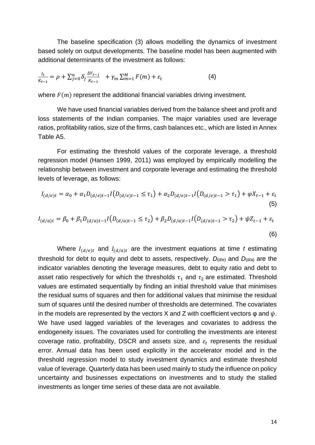The baseline specification (3) allows modelling the dynamics of investment based solely on output developments. The baseline model has been augmented with additional determinants of the investment as follows:

$$
\frac{I_t}{K_{t-1}} = \rho + \sum_{j=0}^n \delta_j \frac{\Delta Y_{t-j}}{K_{t-1}} + \gamma_m \sum_{m=1}^M F(m) + \varepsilon_t
$$
 (4)

where  $F(m)$  represent the additional financial variables driving investment.

We have used financial variables derived from the balance sheet and profit and loss statements of the Indian companies. The major variables used are leverage ratios, profitability ratios, size of the firms, cash balances etc., which are listed in Annex Table A5.

For estimating the threshold values of the corporate leverage, a threshold regression model (Hansen 1999, 2011) was employed by empirically modelling the relationship between investment and corporate leverage and estimating the threshold levels of leverage, as follows:

$$
I_{(d/e)t} = \alpha_0 + \alpha_1 D_{(d/e)t-1} I(D_{(d/e)t-1} \le \tau_1) + \alpha_2 D_{(d/e)t-1} I(D_{(d/e)t-1} > \tau_1) + \varphi X_{t-1} + \varepsilon_t
$$
\n(5)

$$
I_{(d/a)t} = \beta_0 + \beta_1 D_{(d/a)t-1} I(D_{(d/a)t-1} \le \tau_2) + \beta_2 D_{(d/a)t-1} I(D_{(d/a)t-1} > \tau_2) + \psi Z_{t-1} + \varepsilon_t
$$
\n(6)

Where  $I_{(d/e)t}$  and  $I_{(d/a)t}$  are the investment equations at time *t* estimating threshold for debt to equity and debt to assets, respectively. *D*(d/e) and *D*(d/a) are the indicator variables denoting the leverage measures, debt to equity ratio and debt to asset ratio respectively for which the thresholds  $\tau_1$  and  $\tau_2$  are estimated. Threshold values are estimated sequentially by finding an initial threshold value that minimises the residual sums of squares and then for additional values that minimise the residual sum of squares until the desired number of thresholds are determined. The covariates in the models are represented by the vectors X and Z with coefficient vectors  $\varphi$  and  $\psi$ . We have used lagged variables of the leverages and covariates to address the endogeneity issues. The covariates used for controlling the investments are interest coverage ratio, profitability, DSCR and assets size, and  $\varepsilon_t$  represents the residual error. Annual data has been used explicitly in the accelerator model and in the threshold regression model to study investment dynamics and estimate threshold value of leverage. Quarterly data has been used mainly to study the influence on policy uncertainty and businesses expectations on investments and to study the stalled investments as longer time series of these data are not available.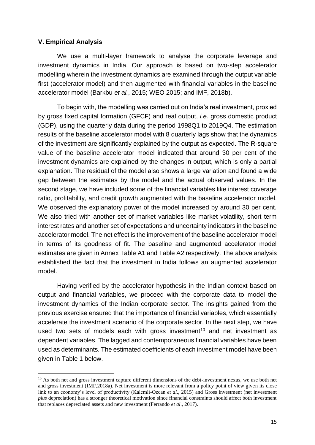#### **V. Empirical Analysis**

We use a multi-layer framework to analyse the corporate leverage and investment dynamics in India. Our approach is based on two-step accelerator modelling wherein the investment dynamics are examined through the output variable first (accelerator model) and then augmented with financial variables in the baseline accelerator model (Barkbu *et al.*, 2015; WEO 2015; and IMF, 2018b).

To begin with, the modelling was carried out on India's real investment, proxied by gross fixed capital formation (GFCF) and real output, *i.e.* gross domestic product (GDP), using the quarterly data during the period 1998Q1 to 2019Q4. The estimation results of the baseline accelerator model with 8 quarterly lags show that the dynamics of the investment are significantly explained by the output as expected. The R-square value of the baseline accelerator model indicated that around 30 per cent of the investment dynamics are explained by the changes in output, which is only a partial explanation. The residual of the model also shows a large variation and found a wide gap between the estimates by the model and the actual observed values. In the second stage, we have included some of the financial variables like interest coverage ratio, profitability, and credit growth augmented with the baseline accelerator model. We observed the explanatory power of the model increased by around 30 per cent. We also tried with another set of market variables like market volatility, short term interest rates and another set of expectations and uncertainty indicators in the baseline accelerator model. The net effect is the improvement of the baseline accelerator model in terms of its goodness of fit. The baseline and augmented accelerator model estimates are given in Annex Table A1 and Table A2 respectively. The above analysis established the fact that the investment in India follows an augmented accelerator model.

Having verified by the accelerator hypothesis in the Indian context based on output and financial variables, we proceed with the corporate data to model the investment dynamics of the Indian corporate sector. The insights gained from the previous exercise ensured that the importance of financial variables, which essentially accelerate the investment scenario of the corporate sector. In the next step, we have used two sets of models each with gross investment<sup>10</sup> and net investment as dependent variables. The lagged and contemporaneous financial variables have been used as determinants. The estimated coefficients of each investment model have been given in Table 1 below.

<sup>&</sup>lt;sup>10</sup> As both net and gross investment capture different dimensions of the debt-investment nexus, we use both net and gross investment (IMF,2018a). Net investment is more relevant from a policy point of view given its close link to an economy's level of productivity (Kalemli-Ozcan *et al*., 2015) and Gross investment (net investment *plus* depreciation) has a stronger theoretical motivation since financial constraints should affect both investment that replaces depreciated assets and new investment (Ferrando *et al*., 2017).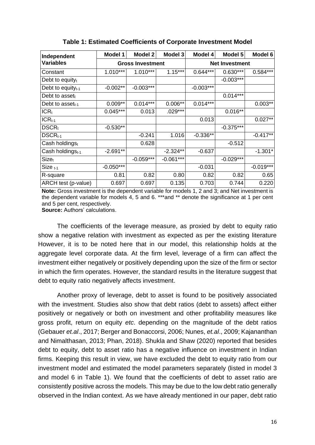| Independent                  | Model 1     | Model 2                 | <b>Model 3</b> | Model 4               | Model 5     | Model 6     |  |
|------------------------------|-------------|-------------------------|----------------|-----------------------|-------------|-------------|--|
| <b>Variables</b>             |             | <b>Gross Investment</b> |                | <b>Net Investment</b> |             |             |  |
| Constant                     | $1.010***$  | $1.010***$              | $1.15***$      | $0.644***$            | $0.630***$  | $0.584***$  |  |
| Debt to equity $t$           |             |                         |                |                       | $-0.003***$ |             |  |
| Debt to equity $_{t-1}$      | $-0.002**$  | $-0.003***$             |                | $-0.003***$           |             |             |  |
| Debt to asset $t$            |             |                         |                |                       | $0.014***$  |             |  |
| Debt to asset $_{t-1}$       | $0.009**$   | $0.014***$              | $0.006**$      | $0.014***$            |             | $0.003**$   |  |
| $ICR_t$                      | $0.045***$  | 0.013                   | $.029***$      |                       | $0.016**$   |             |  |
| $ICR_{t-1}$                  |             |                         |                | 0.013                 |             | $0.027**$   |  |
| $DSCR_t$                     | $-0.530**$  |                         |                |                       | $-0.375***$ |             |  |
| $DSCRt-1$                    |             | $-0.241$                | 1.016          | $-0.336**$            |             | $-0.417**$  |  |
| Cash holdingst               |             | 0.628                   |                |                       | $-0.512$    |             |  |
| Cash holdings <sub>t-1</sub> | $-2.691**$  |                         | $-2.324**$     | $-0.637$              |             | $-1.301*$   |  |
| Size <sub>t</sub>            |             | $-0.059***$             | $-0.061***$    |                       | $-0.029***$ |             |  |
| $Size_{t-1}$                 | $-0.050***$ |                         |                | $-0.031$              |             | $-0.019***$ |  |
| R-square                     | 0.81        | 0.82                    | 0.80           | 0.82                  | 0.82        | 0.65        |  |
| ARCH test (p-value)          | 0.697       | 0.697                   | 0.135          | 0.703                 | 0.744       | 0.220       |  |

**Table 1: Estimated Coefficients of Corporate Investment Model**

**Note:** Gross investment is the dependent variable for models 1, 2 and 3; and Net investment is the dependent variable for models 4, 5 and 6. \*\*\* and \*\* denote the significance at 1 per cent and 5 per cent, respectively.

**Source:** Authors' calculations.

The coefficients of the leverage measure, as proxied by debt to equity ratio show a negative relation with investment as expected as per the existing literature However, it is to be noted here that in our model, this relationship holds at the aggregate level corporate data. At the firm level, leverage of a firm can affect the investment either negatively or positively depending upon the size of the firm or sector in which the firm operates. However, the standard results in the literature suggest that debt to equity ratio negatively affects investment.

Another proxy of leverage, debt to asset is found to be positively associated with the investment. Studies also show that debt ratios (debt to assets) affect either positively or negatively or both on investment and other profitability measures like gross profit, return on equity *etc*. depending on the magnitude of the debt ratios (Gebauer *et.al*., 2017; Berger and Bonaccorsi, 2006; Nunes, *et.al*., 2009; Kajananthan and Nimalthasan, 2013; Phan, 2018). Shukla and Shaw (2020) reported that besides debt to equity, debt to asset ratio has a negative influence on investment in Indian firms. Keeping this result in view, we have excluded the debt to equity ratio from our investment model and estimated the model parameters separately (listed in model 3 and model 6 in Table 1). We found that the coefficients of debt to asset ratio are consistently positive across the models. This may be due to the low debt ratio generally observed in the Indian context. As we have already mentioned in our paper, debt ratio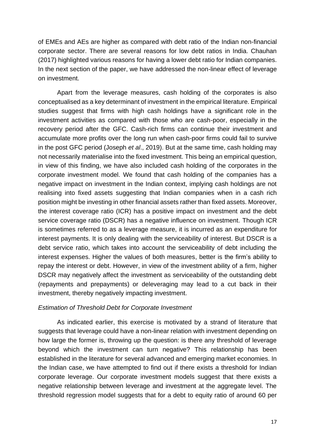of EMEs and AEs are higher as compared with debt ratio of the Indian non-financial corporate sector. There are several reasons for low debt ratios in India. Chauhan (2017) highlighted various reasons for having a lower debt ratio for Indian companies. In the next section of the paper, we have addressed the non-linear effect of leverage on investment.

Apart from the leverage measures, cash holding of the corporates is also conceptualised as a key determinant of investment in the empirical literature. Empirical studies suggest that firms with high cash holdings have a significant role in the investment activities as compared with those who are cash-poor, especially in the recovery period after the GFC. Cash-rich firms can continue their investment and accumulate more profits over the long run when cash-poor firms could fail to survive in the post GFC period (Joseph *et al*., 2019). But at the same time, cash holding may not necessarily materialise into the fixed investment. This being an empirical question, in view of this finding, we have also included cash holding of the corporates in the corporate investment model. We found that cash holding of the companies has a negative impact on investment in the Indian context, implying cash holdings are not realising into fixed assets suggesting that Indian companies when in a cash rich position might be investing in other financial assets rather than fixed assets. Moreover, the interest coverage ratio (ICR) has a positive impact on investment and the debt service coverage ratio (DSCR) has a negative influence on investment. Though ICR is sometimes referred to as a leverage measure, it is incurred as an expenditure for interest payments. It is only dealing with the serviceability of interest. But DSCR is a debt service ratio, which takes into account the serviceability of debt including the interest expenses. Higher the values of both measures, better is the firm's ability to repay the interest or debt. However, in view of the investment ability of a firm, higher DSCR may negatively affect the investment as serviceability of the outstanding debt (repayments and prepayments) or deleveraging may lead to a cut back in their investment, thereby negatively impacting investment.

## *Estimation of Threshold Debt for Corporate Investment*

As indicated earlier, this exercise is motivated by a strand of literature that suggests that leverage could have a non-linear relation with investment depending on how large the former is, throwing up the question: is there any threshold of leverage beyond which the investment can turn negative? This relationship has been established in the literature for several advanced and emerging market economies. In the Indian case, we have attempted to find out if there exists a threshold for Indian corporate leverage. Our corporate investment models suggest that there exists a negative relationship between leverage and investment at the aggregate level. The threshold regression model suggests that for a debt to equity ratio of around 60 per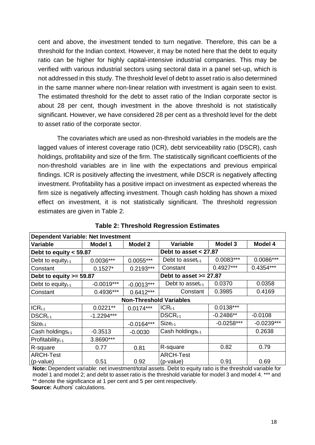cent and above, the investment tended to turn negative. Therefore, this can be a threshold for the Indian context. However, it may be noted here that the debt to equity ratio can be higher for highly capital-intensive industrial companies. This may be verified with various industrial sectors using sectoral data in a panel set-up, which is not addressed in this study. The threshold level of debt to asset ratio is also determined in the same manner where non-linear relation with investment is again seen to exist. The estimated threshold for the debt to asset ratio of the Indian corporate sector is about 28 per cent, though investment in the above threshold is not statistically significant. However, we have considered 28 per cent as a threshold level for the debt to asset ratio of the corporate sector.

The covariates which are used as non-threshold variables in the models are the lagged values of interest coverage ratio (ICR), debt serviceability ratio (DSCR), cash holdings, profitability and size of the firm. The statistically significant coefficients of the non-threshold variables are in line with the expectations and previous empirical findings. ICR is positively affecting the investment, while DSCR is negatively affecting investment. Profitability has a positive impact on investment as expected whereas the firm size is negatively affecting investment. Though cash holding has shown a mixed effect on investment, it is not statistically significant. The threshold regression estimates are given in Table 2.

| <b>Dependent Variable: Net Investment</b> |                |                                |                              |                |              |  |  |  |  |  |
|-------------------------------------------|----------------|--------------------------------|------------------------------|----------------|--------------|--|--|--|--|--|
| <b>Variable</b>                           | <b>Model 1</b> | <b>Model 2</b>                 | <b>Variable</b>              | <b>Model 3</b> | Model 4      |  |  |  |  |  |
| Debt to equity $<$ 59.87                  |                |                                | Debt to asset $< 27.87$      |                |              |  |  |  |  |  |
| Debt to equity $_{t-1}$                   | $0.0036***$    | $0.0055***$                    | Debt to asset $t_{t-1}$      | $0.0083***$    | $0.0086***$  |  |  |  |  |  |
| Constant                                  | $0.1527*$      | $0.2193***$                    | Constant                     | $0.4927***$    | $0.4354***$  |  |  |  |  |  |
| Debt to equity $>= 59.87$                 |                |                                | Debt to asset $>= 27.87$     |                |              |  |  |  |  |  |
| Debt to equity $_{t-1}$                   | $-0.0019***$   | $-0.0013***$                   | Debt to asset $t_{t-1}$      | 0.0370         | 0.0358       |  |  |  |  |  |
| Constant                                  | $0.4936***$    | $0.6412***$                    | Constant                     | 0.3985         | 0.4169       |  |  |  |  |  |
|                                           |                | <b>Non-Threshold Variables</b> |                              |                |              |  |  |  |  |  |
| $ICR_{t-1}$                               | $0.0221**$     | $0.0174***$                    | $ICRt-1$                     | $0.0138***$    |              |  |  |  |  |  |
| $DSCRt-1$                                 | $-1.2294***$   |                                | $DSCRt-1$                    | $-0.2486**$    | $-0.0108$    |  |  |  |  |  |
| $Sizet-1$                                 |                | $-0.0164***$                   | $Sizet-1$                    | $-0.0258***$   | $-0.0239***$ |  |  |  |  |  |
| Cash holdings <sub>t-1</sub>              | $-0.3513$      | $-0.0030$                      | Cash holdings <sub>t-1</sub> |                | 0.2638       |  |  |  |  |  |
| Profitability $t_{t-1}$                   | 3.8690***      |                                |                              |                |              |  |  |  |  |  |
| R-square                                  | 0.77           | 0.81                           | R-square                     | 0.82           | 0.79         |  |  |  |  |  |
| <b>ARCH-Test</b>                          |                |                                | <b>ARCH-Test</b>             |                |              |  |  |  |  |  |
| (p-value)                                 | 0.51           | 0.92                           | (p-value)                    | 0.91           | 0.69         |  |  |  |  |  |

**Table 2: Threshold Regression Estimates**

**Note:** Dependent variable: net investment/total assets. Debt to equity ratio is the threshold variable for model 1 and model 2; and debt to asset ratio is the threshold variable for model 3 and model 4. \*\*\* and \*\* denote the significance at 1 per cent and 5 per cent respectively.

**Source:** Authors' calculations.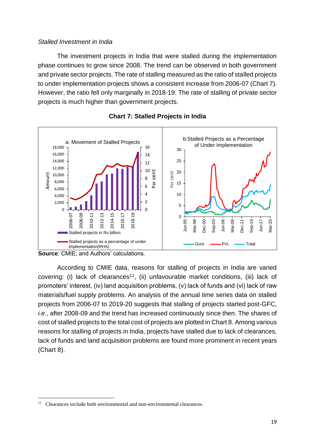## *Stalled Investment in India*

The investment projects in India that were stalled during the implementation phase continues to grow since 2008. The trend can be observed in both government and private sector projects. The rate of stalling measured as the ratio of stalled projects to under implementation projects shows a consistent increase from 2006-07 (Chart 7). However, the ratio fell only marginally in 2018-19. The rate of stalling of private sector projects is much higher than government projects.





According to CMIE data, reasons for stalling of projects in India are varied covering: (i) lack of clearances<sup>11</sup>, (ii) unfavourable market conditions, (iii) lack of promoters' interest, (iv) land acquisition problems, (v) lack of funds and (vi) lack of raw materials/fuel supply problems. An analysis of the annual time series data on stalled projects from 2006-07 to 2019-20 suggests that stalling of projects started post-GFC, *i.e*., after 2008-09 and the trend has increased continuously since then. The shares of cost of stalled projects to the total cost of projects are plotted in Chart 8. Among various reasons for stalling of projects in India, projects have stalled due to lack of clearances, lack of funds and land acquisition problems are found more prominent in recent years (Chart 8).

**Source**: CMIE; and Authors' calculations.

<sup>&</sup>lt;sup>11</sup> Clearances include both environmental and non-environmental clearances.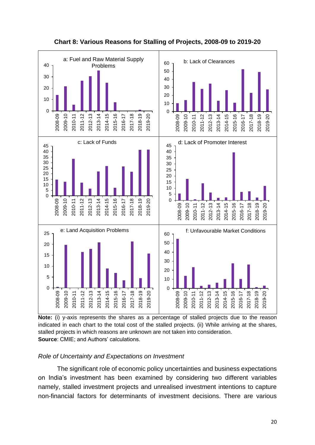

**Chart 8: Various Reasons for Stalling of Projects, 2008-09 to 2019-20**

**Note:** (i) y-axis represents the shares as a percentage of stalled projects due to the reason indicated in each chart to the total cost of the stalled projects. (ii) While arriving at the shares, stalled projects in which reasons are unknown are not taken into consideration. **Source**: CMIE; and Authors' calculations.

## *Role of Uncertainty and Expectations on Investment*

The significant role of economic policy uncertainties and business expectations on India's investment has been examined by considering two different variables namely, stalled investment projects and unrealised investment intentions to capture non-financial factors for determinants of investment decisions. There are various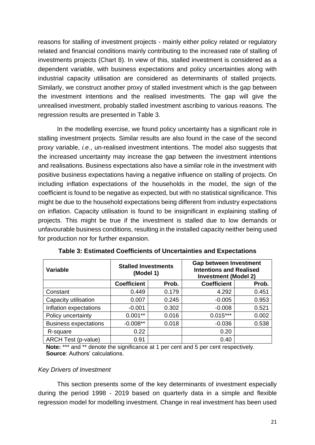reasons for stalling of investment projects - mainly either policy related or regulatory related and financial conditions mainly contributing to the increased rate of stalling of investments projects (Chart 8). In view of this, stalled investment is considered as a dependent variable, with business expectations and policy uncertainties along with industrial capacity utilisation are considered as determinants of stalled projects. Similarly, we construct another proxy of stalled investment which is the gap between the investment intentions and the realised investments. The gap will give the unrealised investment, probably stalled investment ascribing to various reasons. The regression results are presented in Table 3.

In the modelling exercise, we found policy uncertainty has a significant role in stalling investment projects. Similar results are also found in the case of the second proxy variable, *i.e*., un-realised investment intentions. The model also suggests that the increased uncertainty may increase the gap between the investment intentions and realisations. Business expectations also have a similar role in the investment with positive business expectations having a negative influence on stalling of projects. On including inflation expectations of the households in the model, the sign of the coefficient is found to be negative as expected, but with no statistical significance. This might be due to the household expectations being different from industry expectations on inflation. Capacity utilisation is found to be insignificant in explaining stalling of projects. This might be true if the investment is stalled due to low demands or unfavourable business conditions, resulting in the installed capacity neither being used for production nor for further expansion.

| <b>Variable</b>              | <b>Stalled Investments</b><br>(Model 1) |       | <b>Gap between Investment</b><br><b>Intentions and Realised</b><br><b>Investment (Model 2)</b> |       |  |  |
|------------------------------|-----------------------------------------|-------|------------------------------------------------------------------------------------------------|-------|--|--|
|                              | <b>Coefficient</b>                      | Prob. | <b>Coefficient</b>                                                                             | Prob. |  |  |
| Constant                     | 0.449                                   | 0.179 | 4.292                                                                                          | 0.451 |  |  |
| Capacity utilisation         | 0.007                                   | 0.245 | $-0.005$                                                                                       | 0.953 |  |  |
| Inflation expectations       | $-0.001$                                | 0.302 | $-0.008$                                                                                       | 0.521 |  |  |
| Policy uncertainty           | $0.001**$                               | 0.016 | $0.015***$                                                                                     | 0.002 |  |  |
| <b>Business expectations</b> | $-0.008**$                              | 0.018 | $-0.036$                                                                                       | 0.538 |  |  |
| R-square                     | 0.22                                    |       | 0.20                                                                                           |       |  |  |
| ARCH Test (p-value)          | 0.91                                    |       | 0.40                                                                                           |       |  |  |

**Table 3: Estimated Coefficients of Uncertainties and Expectations**

**Note:** \*\*\* and \*\* denote the significance at 1 per cent and 5 per cent respectively. **Source**: Authors' calculations.

## *Key Drivers of Investment*

This section presents some of the key determinants of investment especially during the period 1998 - 2019 based on quarterly data in a simple and flexible regression model for modelling investment. Change in real investment has been used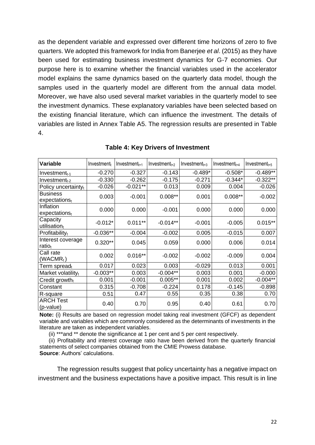as the dependent variable and expressed over different time horizons of zero to five quarters. We adopted this framework for India from Banerjee *et al*. (2015) as they have been used for estimating business investment dynamics for G-7 economies. Our purpose here is to examine whether the financial variables used in the accelerator model explains the same dynamics based on the quarterly data model, though the samples used in the quarterly model are different from the annual data model. Moreover, we have also used several market variables in the quarterly model to see the investment dynamics. These explanatory variables have been selected based on the existing financial literature, which can influence the investment. The details of variables are listed in Annex Table A5. The regression results are presented in Table 4.

| <b>Variable</b>                              | Investmentt | $Investment_{t+1}$ | $Investment_{t+2}$ | $Investment_{t+3}$ | $Investment_{t+4}$<br>$Investment_{t+5}$ |            |
|----------------------------------------------|-------------|--------------------|--------------------|--------------------|------------------------------------------|------------|
| $Investment_{t-1}$                           | $-0.270$    | $-0.327$           | $-0.143$           | $-0.489*$          | $-0.508*$                                | $-0.489**$ |
| $Investment_{t-2}$                           | $-0.330$    | $-0.262$           | $-0.175$           | $-0.271$           | $-0.344*$                                | $-0.322**$ |
| Policy uncertainty $_{t}$                    | $-0.026$    | $-0.021**$         | 0.013              | 0.009              | 0.004                                    | $-0.026$   |
| <b>Business</b><br>expectations <sub>t</sub> | 0.003       | $-0.001$           | $0.008**$          | 0.001              | $0.008**$                                | $-0.002$   |
| Inflation<br>expectationst                   | 0.000       | 0.000              | $-0.001$           | 0.000              | 0.000                                    | 0.000      |
| Capacity<br>utilisation <sub>t</sub>         | $-0.012*$   | $0.011***$         | $-0.014**$         | $-0.001$           | $-0.005$                                 | $0.015***$ |
| Profitabilityt                               | $-0.036**$  | $-0.004$           | $-0.002$           | 0.005              | $-0.015$                                 | 0.007      |
| Interest coverage<br>ratiot                  | $0.320**$   | 0.045              | 0.059              | 0.000              | 0.006                                    | 0.014      |
| Call rate<br>$(WACMR_t)$                     | 0.002       | $0.016**$          | $-0.002$           | $-0.002$           | $-0.009$                                 | 0.004      |
| Term spread <sub>t</sub>                     | 0.017       | 0.023              | 0.003              | $-0.029$           | 0.013                                    | 0.001      |
| Market volatilityt                           | $-0.003**$  | 0.003              | $-0.004**$         | 0.003              | 0.001                                    | $-0.000$   |
| Credit growth $t$                            | 0.001       | $-0.001$           | $0.005**$          | 0.001              | 0.002                                    | $-0.004**$ |
| Constant                                     | 0.315       | $-0.708$           | $-0.224$           | 0.178              | $-0.145$                                 | $-0.898$   |
| R-square                                     | 0.51        | 0.47               | 0.55               | 0.35               | 0.38                                     | 0.70       |
| <b>ARCH Test</b><br>(p-value)                | 0.40        | 0.70               | 0.95               | 0.40               | 0.61                                     | 0.70       |

#### **Table 4: Key Drivers of Investment**

**Note:** (i) Results are based on regression model taking real investment (GFCF) as dependent variable and variables which are commonly considered as the determinants of investments in the literature are taken as independent variables.

(ii) \*\*\*and \*\* denote the significance at 1 per cent and 5 per cent respectively.

 (ii) Profitability and interest coverage ratio have been derived from the quarterly financial statements of select companies obtained from the CMIE Prowess database. **Source**: Authors' calculations.

The regression results suggest that policy uncertainty has a negative impact on investment and the business expectations have a positive impact. This result is in line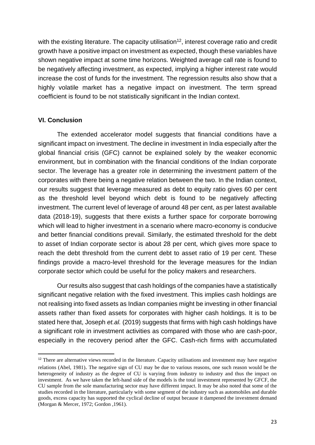with the existing literature. The capacity utilisation<sup>12</sup>, interest coverage ratio and credit growth have a positive impact on investment as expected, though these variables have shown negative impact at some time horizons. Weighted average call rate is found to be negatively affecting investment, as expected, implying a higher interest rate would increase the cost of funds for the investment. The regression results also show that a highly volatile market has a negative impact on investment. The term spread coefficient is found to be not statistically significant in the Indian context.

## **VI. Conclusion**

The extended accelerator model suggests that financial conditions have a significant impact on investment. The decline in investment in India especially after the global financial crisis (GFC) cannot be explained solely by the weaker economic environment, but in combination with the financial conditions of the Indian corporate sector. The leverage has a greater role in determining the investment pattern of the corporates with there being a negative relation between the two. In the Indian context, our results suggest that leverage measured as debt to equity ratio gives 60 per cent as the threshold level beyond which debt is found to be negatively affecting investment. The current level of leverage of around 48 per cent, as per latest available data (2018-19), suggests that there exists a further space for corporate borrowing which will lead to higher investment in a scenario where macro-economy is conducive and better financial conditions prevail. Similarly, the estimated threshold for the debt to asset of Indian corporate sector is about 28 per cent, which gives more space to reach the debt threshold from the current debt to asset ratio of 19 per cent. These findings provide a macro-level threshold for the leverage measures for the Indian corporate sector which could be useful for the policy makers and researchers.

Our results also suggest that cash holdings of the companies have a statistically significant negative relation with the fixed investment. This implies cash holdings are not realising into fixed assets as Indian companies might be investing in other financial assets rather than fixed assets for corporates with higher cash holdings. It is to be stated here that, Joseph *et.al.* (2019) suggests that firms with high cash holdings have a significant role in investment activities as compared with those who are cash-poor, especially in the recovery period after the GFC. Cash-rich firms with accumulated

<sup>&</sup>lt;sup>12</sup> There are alternative views recorded in the literature. Capacity utilisations and investment may have negative relations (Abel, 1981). The negative sign of CU may be due to various reasons, one such reason would be the heterogeneity of industry as the degree of CU is varying from industry to industry and thus the impact on investment. As we have taken the left-hand side of the models is the total investment represented by GFCF, the CU sample from the sole manufacturing sector may have different impact. It may be also noted that some of the studies recorded in the literature, particularly with some segment of the industry such as automobiles and durable goods, excess capacity has supported the cyclical decline of output because it dampened the investment demand (Morgan & Mercer, 1972; Gordon ,1961).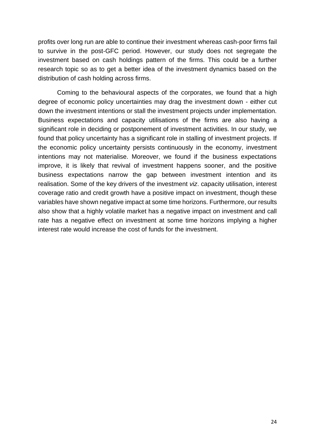profits over long run are able to continue their investment whereas cash-poor firms fail to survive in the post-GFC period. However, our study does not segregate the investment based on cash holdings pattern of the firms. This could be a further research topic so as to get a better idea of the investment dynamics based on the distribution of cash holding across firms.

Coming to the behavioural aspects of the corporates, we found that a high degree of economic policy uncertainties may drag the investment down - either cut down the investment intentions or stall the investment projects under implementation. Business expectations and capacity utilisations of the firms are also having a significant role in deciding or postponement of investment activities. In our study, we found that policy uncertainty has a significant role in stalling of investment projects. If the economic policy uncertainty persists continuously in the economy, investment intentions may not materialise. Moreover, we found if the business expectations improve, it is likely that revival of investment happens sooner, and the positive business expectations narrow the gap between investment intention and its realisation. Some of the key drivers of the investment *viz*. capacity utilisation, interest coverage ratio and credit growth have a positive impact on investment, though these variables have shown negative impact at some time horizons. Furthermore, our results also show that a highly volatile market has a negative impact on investment and call rate has a negative effect on investment at some time horizons implying a higher interest rate would increase the cost of funds for the investment.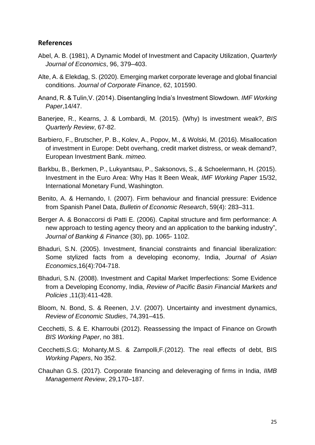## **References**

- Abel, A. B. (1981), A Dynamic Model of Investment and Capacity Utilization, *Quarterly Journal of Economics*, 96, 379–403.
- Alte, A. & Elekdag, S. (2020). Emerging market corporate leverage and global financial conditions. *Journal of Corporate Finance*, 62, 101590.
- Anand, R. & Tulin,V. (2014). Disentangling India's Investment Slowdown. *IMF Working Paper*,14/47.
- Banerjee, R., Kearns, J. & Lombardi, M. (2015). (Why) Is investment weak?, *BIS Quarterly Review*, 67-82.
- Barbiero, F., Brutscher, P. B., Kolev, A., Popov, M., & Wolski, M. (2016). Misallocation of investment in Europe: Debt overhang, credit market distress, or weak demand?, European Investment Bank. *mimeo.*
- Barkbu, B., Berkmen, P., Lukyantsau, P., Saksonovs, S., & Schoelermann, H. (2015). Investment in the Euro Area: Why Has It Been Weak, *IMF Working Paper* 15/32, International Monetary Fund, Washington.
- Benito, A. & Hernando, I. (2007). Firm behaviour and financial pressure: Evidence from Spanish Panel Data, *Bulletin of Economic Research*, 59(4): 283–311.
- Berger A. & Bonaccorsi di Patti E. (2006). Capital structure and firm performance: A new approach to testing agency theory and an application to the banking industry", *Journal of Banking & Finance* (30), pp. 1065- 1102.
- Bhaduri, S.N. (2005). Investment, financial constraints and financial liberalization: Some stylized facts from a developing economy, India, *Journal of Asian Economics*,16(4):704-718.
- Bhaduri, S.N. (2008). Investment and Capital Market Imperfections: Some Evidence from a Developing Economy, India, *Review of Pacific Basin Financial Markets and Policies* ,11(3):411-428.
- Bloom, N. Bond, S. & Reenen, J.V. (2007). Uncertainty and investment dynamics, *Review of Economic Studies*, 74,391–415.
- Cecchetti, S. & E. Kharroubi (2012). Reassessing the Impact of Finance on Growth *BIS Working Paper*, no 381.
- Cecchetti,S.G; Mohanty,M.S. & Zampolli,F.(2012). The real effects of debt, BIS *Working Papers*, No 352.
- Chauhan G.S. (2017). Corporate financing and deleveraging of firms in India, *IIMB Management Review*, 29,170–187.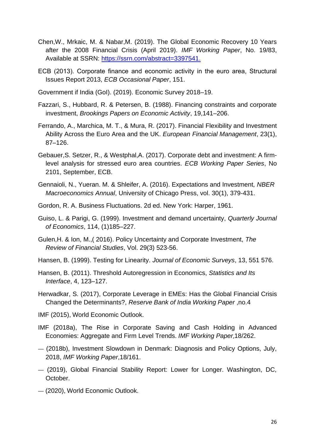- Chen,W., Mrkaic, M. & Nabar,M. (2019). The Global Economic Recovery 10 Years after the 2008 Financial Crisis (April 2019). *IMF Working Paper*, No. 19/83, Available at SSRN: [https://ssrn.com/abstract=3397541.](https://ssrn.com/abstract=3397541)
- ECB (2013). Corporate finance and economic activity in the euro area, Structural Issues Report 2013, *ECB Occasional Paper*, 151.
- Government if India (GoI). (2019). Economic Survey 2018–19.
- Fazzari, S., Hubbard, R. & Petersen, B. (1988). Financing constraints and corporate investment, *Brookings Papers on Economic Activity*, 19,141–206.
- Ferrando, A., Marchica, M. T., & Mura, R. (2017). Financial Flexibility and Investment Ability Across the Euro Area and the UK. *European Financial Management*, 23(1), 87–126.
- Gebauer,S. Setzer, R., & Westphal,A. (2017). Corporate debt and investment: A firmlevel analysis for stressed euro area countries. *ECB Working Paper Series*, No 2101, September, ECB.
- Gennaioli, N., Yueran. M. & Shleifer, A. (2016). Expectations and Investment*, NBER Macroeconomics Annual*, University of Chicago Press, vol. 30(1), 379-431.
- Gordon, R. A. Business Fluctuations. 2d ed. New York: Harper, 1961.
- Guiso, L. & Parigi, G. (1999). Investment and demand uncertainty, *Quarterly Journal of Economics*, 114, (1)185–227.
- Gulen,H. & Ion, M.,( 2016). Policy Uncertainty and Corporate Investment, *The Review of Financial Studies*, Vol. 29(3) 523-56.
- Hansen, B. (1999). Testing for Linearity. *Journal of Economic Surveys*, 13, 551 576.
- Hansen, B. (2011). Threshold Autoregression in Economics, *Statistics and Its Interface*, 4, 123–127.
- Herwadkar, S. (2017), Corporate Leverage in EMEs: Has the Global Financial Crisis Changed the Determinants?, *Reserve Bank of India Working Paper* ,no.4
- IMF (2015), World Economic Outlook.
- IMF (2018a), The Rise in Corporate Saving and Cash Holding in Advanced Economies: Aggregate and Firm Level Trends. *IMF Working Paper*,18/262.
- (2018b), Investment Slowdown in Denmark: Diagnosis and Policy Options, July, 2018, *IMF Working Paper*,18/161.
- (2019), Global Financial Stability Report: Lower for Longer. Washington, DC, October.
- (2020), World Economic Outlook.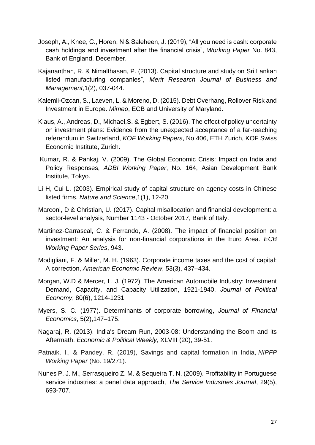- Joseph, A., Knee, C., Horen, N & Saleheen, J. (2019), "All you need is cash: corporate cash holdings and investment after the financial crisis", *Working Paper* No. 843, Bank of England, December.
- Kajananthan, R. & Nimalthasan, P. (2013). Capital structure and study on Sri Lankan listed manufacturing companies", *Merit Research Journal of Business and Management*,1(2), 037-044.
- Kalemli-Ozcan, S., Laeven, L. & Moreno, D. (2015). Debt Overhang, Rollover Risk and Investment in Europe. *Mimeo*, ECB and University of Maryland.
- Klaus, A., Andreas, D., Michael,S. & Egbert, S. (2016). The effect of policy uncertainty on investment plans: Evidence from the unexpected acceptance of a far-reaching referendum in Switzerland, *KOF Working Papers*, No.406, ETH Zurich, KOF Swiss Economic Institute, Zurich.
- Kumar, R. & Pankaj, V. (2009). The Global Economic Crisis: Impact on India and Policy Responses, *ADBI Working Paper*, No. 164, Asian Development Bank Institute, Tokyo.
- Li H, Cui L. (2003). Empirical study of capital structure on agency costs in Chinese listed firms. *Nature and Science*,1(1), 12-20.
- Marconi, D & Christian, U. (2017). Capital misallocation and financial development: a sector-level analysis, Number 1143 - October 2017, Bank of Italy.
- Martinez-Carrascal, C. & Ferrando, A. (2008). The impact of financial position on investment: An analysis for non-financial corporations in the Euro Area. *ECB Working Paper Series*, 943.
- Modigliani, F. & Miller, M. H. (1963). Corporate income taxes and the cost of capital: A correction, *American Economic Review*, 53(3), 437–434.
- Morgan, W.D & Mercer, L. J. (1972). The American Automobile Industry: Investment Demand, Capacity, and Capacity Utilization, 1921-1940, *Journal of Political Economy*, 80(6), 1214-1231
- Myers, S. C. (1977). Determinants of corporate borrowing, *Journal of Financial Economics*, 5(2),147–175.
- Nagaraj, R. (2013). India's Dream Run, 2003-08: Understanding the Boom and its Aftermath. *Economic & Political Weekly*, XLVIII (20), 39-51.
- Patnaik, I., & Pandey, R. (2019), Savings and capital formation in India, *NIPFP Working Paper* (No. 19/271).
- Nunes P. J. M., Serrasqueiro Z. M. & Sequeira T. N. (2009). Profitability in Portuguese service industries: a panel data approach, *The Service Industries Journal*, 29(5), 693-707.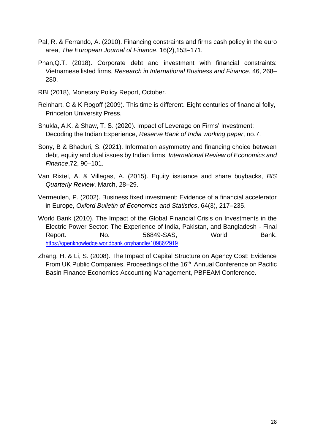- Pal, R. & Ferrando, A. (2010). Financing constraints and firms cash policy in the euro area, *The European Journal of Finance*, 16(2),153–171.
- Phan,Q.T. (2018). Corporate debt and investment with financial constraints: Vietnamese listed firms, *Research in International Business and Finance*, 46, 268– 280.
- RBI (2018), Monetary Policy Report, October.
- Reinhart, C & K Rogoff (2009). This time is different. Eight centuries of financial folly, Princeton University Press.
- Shukla, A.K. & Shaw, T. S. (2020). Impact of Leverage on Firms' Investment: Decoding the Indian Experience, *Reserve Bank of India working paper*, no.7.
- Sony, B & Bhaduri, S. (2021). Information asymmetry and financing choice between debt, equity and dual issues by Indian firms, *International Review of Economics and Finance*,72, 90–101.
- Van Rixtel, A. & Villegas, A. (2015). Equity issuance and share buybacks, *BIS Quarterly Review*, March, 28–29.
- Vermeulen, P. (2002). Business fixed investment: Evidence of a financial accelerator in Europe, *Oxford Bulletin of Economics and Statistics*, 64(3), 217–235.
- World Bank (2010). The Impact of the Global Financial Crisis on Investments in the Electric Power Sector: The Experience of India, Pakistan, and Bangladesh - Final Report. No. 56849-SAS, World Bank. <https://openknowledge.worldbank.org/handle/10986/2919>
- Zhang, H. & Li, S. (2008). The Impact of Capital Structure on Agency Cost: Evidence From UK Public Companies. Proceedings of the 16<sup>th</sup> Annual Conference on Pacific Basin Finance Economics Accounting Management, PBFEAM Conference.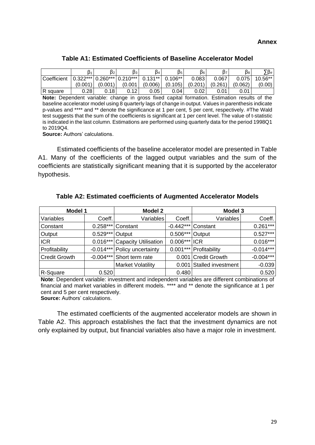## **Table A1: Estimated Coefficients of Baseline Accelerator Model**

|                 | $\beta_1$ | $\beta$ <sub>2</sub> | βз                             | ß4        | $\beta$ <sub>5</sub> | β <sub>6</sub> | ß7      | β <sub>8</sub> | $\nabla \beta_{\#1}$ |
|-----------------|-----------|----------------------|--------------------------------|-----------|----------------------|----------------|---------|----------------|----------------------|
| Coefficient     |           |                      | $ 0.322*** 0.260*** 0.210*** $ | $0.131**$ | $0.106**$            | 0.083          | 0.067   | 0.075          | 10.56**              |
|                 | (0.001)   | (0.001)              | (0.001)                        | (0.006)   | (0.105)              | (0.201)        | (0.261) | (0.062)        | (0.00)               |
| <b>R</b> square | 0.28      | 0.18                 | 0.12                           | 0.05      | 0.04                 | 0.02           | 0.01    | 0.01           |                      |

**Note:** Dependent variable: change in gross fixed capital formation. Estimation results of the baseline accelerator model using 8 quarterly lags of change in output. Values in parenthesis indicate p-values and \*\*\*\* and \*\* denote the significance at 1 per cent, 5 per cent, respectively. #The Wald test suggests that the sum of the coefficients is significant at 1 per cent level. The value of t-statistic is indicated in the last column. Estimations are performed using quarterly data for the period 1998Q1 to 2019Q4.

**Source:** Authors' calculations.

Estimated coefficients of the baseline accelerator model are presented in Table A1. Many of the coefficients of the lagged output variables and the sum of the coefficients are statistically significant meaning that it is supported by the accelerator hypothesis.

| Model 1              |             | <b>Model 2</b>              |             | Model 3                  |             |  |
|----------------------|-------------|-----------------------------|-------------|--------------------------|-------------|--|
| Variables            | Coeff.      | Variables                   | Coeff.      | Variables                | Coeff.      |  |
| Constant             | $0.258***$  | Constant                    | $-0.442***$ | Constant                 | $0.261***$  |  |
| Output               | $0.529***$  | Output                      | $0.506***$  | Output                   | $0.527***$  |  |
| <b>ICR</b>           | $0.016***$  | <b>Capacity Utilisation</b> | $0.006***$  | <b>ICR</b>               | $0.016***$  |  |
| Profitability        | $-0.014***$ | Policy uncertainty          | $0.001***$  | Profitability            | $-0.014***$ |  |
| <b>Credit Growth</b> | $-0.004***$ | Short term rate             |             | 0.001 Credit Growth      | $-0.004***$ |  |
|                      |             | <b>Market Volatility</b>    |             | 0.001 Stalled investment | $-0.039$    |  |
| R-Square             | 0.520       |                             | 0.480       |                          | 0.520       |  |

**Table A2: Estimated coefficients of Augmented Accelerator Models**

**Note**: Dependent variable: investment and independent variables are different combinations of financial and market variables in different models. \*\*\*\* and \*\* denote the significance at 1 per cent and 5 per cent respectively.

**Source:** Authors' calculations.

The estimated coefficients of the augmented accelerator models are shown in Table A2. This approach establishes the fact that the investment dynamics are not only explained by output, but financial variables also have a major role in investment.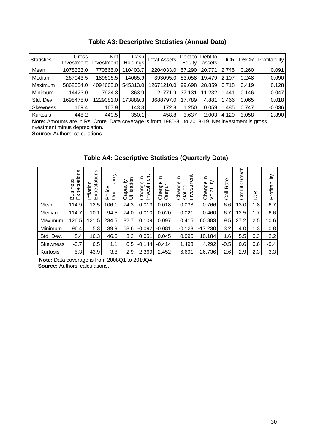| <b>Statistics</b> | Gross<br>Investment | Net<br>Investment | Cashl<br>Holdings | <b>Total Assets</b> | Debt to<br>Equity | Debt to<br>assets | ICR   | <b>DSCR</b> | Profitability |
|-------------------|---------------------|-------------------|-------------------|---------------------|-------------------|-------------------|-------|-------------|---------------|
| Mean              | 1078333.0           | 770565.0          | 10403.7           | 2204033.0           | 57.290            | 20.771            | 2.745 | 0.260       | 0.091         |
| Median            | 267043.5            | 189606.5          | 14065.9           | 393095.0            | 53.058            | 19.479            | 2.107 | 0.248       | 0.090         |
| Maximum           | 5862554.0           | 4094665.0         | 545313.0          | 12671210.0          | 99.698            | 28.859            | 6.718 | 0.419       | 0.128         |
| Minimum           | 14423.0             | 7924.3            | 863.9             | 21771.<br>.9        | 37.131            | 11.232            | 1.441 | 0.146       | 0.047         |
| Std. Dev.         | 1698475.0           | 1229081.0         | 73889.3           | 3688797.0           | 17.789            | 4.881             | 1.466 | 0.065       | 0.018         |
| <b>Skewness</b>   | 169.4               | 167.9             | 143.3             | 172.8               | 1.250             | 0.059             | 1.485 | 0.747       | $-0.036$      |
| Kurtosis          | 448.2               | 440.5             | 350.1             | 458.8               | 3.637             | 2.003             | 4.120 | 3.058       | 2.890         |

**Table A3: Descriptive Statistics (Annual Data)**

**Note:** Amounts are in Rs. Crore. Data coverage is from 1980-81 to 2018-19. Net investment is gross investment minus depreciation.

**Source:** Authors' calculations.

|                 | Business<br>Expectations | Expectations<br>Inflation | rtainty<br>Policy<br>ncei | Utilisation<br>vipacity<br>ပ | Investment<br>⊇.<br>Change | ≘.<br>Change<br>Output | stment<br>크.<br>9e<br>ರ<br>nan<br>E<br>stalle<br>ይ<br>Ξ.<br>ပ | 르.<br>Volatility<br>Change | Rate<br>$\overline{\overline{6}}$<br>ပ | rowth<br>Ō<br>Credit | ICR | Profitability |
|-----------------|--------------------------|---------------------------|---------------------------|------------------------------|----------------------------|------------------------|---------------------------------------------------------------|----------------------------|----------------------------------------|----------------------|-----|---------------|
| Mean            | 114.9                    | 12.5                      | 106.1                     | 74.3                         | 0.013                      | 0.018                  | 0.038                                                         | 0.766                      | 6.6                                    | 13.0                 | 1.8 | 6.7           |
| Median          | 114.7                    | 10.1                      | 94.5                      | 74.0                         | 0.010                      | 0.020                  | 0.021                                                         | $-0.460$                   | 6.7                                    | 12.5                 | 1.7 | 6.6           |
| Maximum         | 126.5                    | 121.5                     | 234.5                     | 82.7                         | 0.109                      | 0.097                  | 0.415                                                         | 60.883                     | 9.5                                    | 27.2                 | 2.5 | 10.6          |
| Minimum         | 96.4                     | 5.3                       | 39.9                      | 68.6                         | $-0.092$                   | $-0.081$               | $-0.123$                                                      | $-17.230$                  | 3.2                                    | 4.0                  | 1.3 | 0.8           |
| Std. Dev.       | 5.4                      | 16.3                      | 46.6                      | 3.2                          | 0.051                      | 0.045                  | 0.096                                                         | 10.184                     | 1.6                                    | 5.5                  | 0.3 | 2.2           |
| <b>Skewness</b> | $-0.7$                   | 6.5                       | 1.1                       | 0.5                          | $-0.144$                   | $-0.414$               | 1.493                                                         | 4.292                      | $-0.5$                                 | 0.6                  | 0.6 | $-0.4$        |
| Kurtosis        | 5.3                      | 43.9                      | 3.8                       | 2.9                          | 2.369                      | 2.452                  | 6.691                                                         | 26.736                     | 2.6                                    | 2.9                  | 2.3 | 3.3           |

**Table A4: Descriptive Statistics (Quarterly Data)**

**Note:** Data coverage is from 2008Q1 to 2019Q4. **Source:** Authors' calculations.